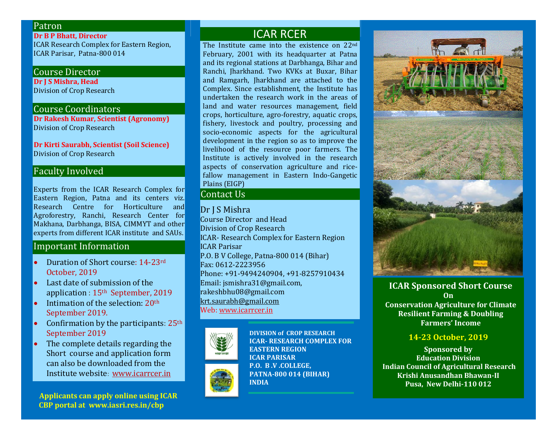### Patron

**Dr B P Bhatt, Director** ICAR Research Complex for Eastern Region, ICAR Parisar, Patna-800 014

# Course Director

**Dr J S Mishra, Head** Division of Crop Research

#### Course Coordinators

**Dr Rakesh Kumar, Scientist (Agronomy)** Division of Crop Research

**Dr Kirti Saurabh, Scientist (Soil Science)** Division of Crop Research

### Faculty Involved

Experts from the ICAR Research Complex for Eastern Region, Patna and its centers viz. Research Centre for Horticulture and Agroforestry, Ranchi, Research Center for Makhana, Darbhanga, BISA, CIMMYT and other experts from different ICAR institute and SAUs.

### Important Information

- Duration of Short course: 14-23rd October, 2019
- Last date of submission of the application : 15th September, 2019
- $\bullet$  Intimation of the selection: 20<sup>th</sup> September 2019.
- Confirmation by the participants: 25th September 2019
- The complete details regarding the Short course and application form can also be downloaded from the Institute website: [www.icarrcer.in](http://www.icarrcer.in/)

 **Applicants can apply online using ICAR CBP portal at www.iasri.res.in/cbp**

# ICAR RCER

The Institute came into the existence on 22nd February, 2001 with its headquarter at Patna and its regional stations at Darbhanga, Bihar and Ranchi, Jharkhand. Two KVKs at Buxar, Bihar and Ramgarh, Jharkhand are attached to the Complex. Since establishment, the Institute has undertaken the research work in the areas of land and water resources management, field crops, horticulture, agro-forestry, aquatic crops, fishery, livestock and poultry, processing and socio-economic aspects for the agricultural development in the region so as to improve the livelihood of the resource poor farmers. The Institute is actively involved in the research aspects of conservation agriculture and ricefallow management in Eastern Indo-Gangetic Plains (EIGP)

# Contact Us

Dr J S Mishra Course Director and Head Division of Crop Research ICAR- Research Complex for Eastern Region ICAR Parisar P.O. B V College, Patna-800 014 (Bihar) Fax: 0612-2223956 Phone: +91-9494240904, +91-8257910434 Email: jsmishra31@gmail.com, rakeshbhu08@gmail.com [krt.saurabh@gmail.com](mailto:krt.saurabh@gmail.com) Web[: www.icarrcer.in](http://www.icarrcer.in/)

> **DIVISION of CROP RESEARCH ICAR- RESEARCH COMPLEX FOR**



**ICAR PARISAR P.O. B .V .COLLEGE, PATNA-800 014 (BIHAR) INDIA** 

**EASTERN REGION**



# **ICAR Sponsored Short Course On**

**Conservation Agriculture for Climate Resilient Farming & Doubling Farmers' Income**

#### **14-23 October, 2019**

**Sponsored by Education Division Indian Council of Agricultural Research Krishi Anusandhan Bhawan-II Pusa, New Delhi-110 012**